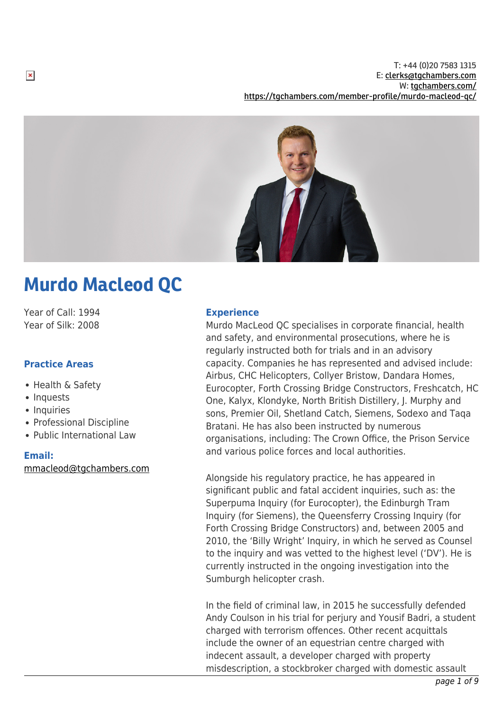

# Murdo Macleod QC

Year of Call: 1994 Year of Silk: 2008

# **Practice Areas**

- Health & Safety
- Inquests
- Inquiries
- Professional Discipline
- Public International Law

## **Email:**

[mmacleod@tgchambers.com](mailto:mmacleod@tgchambers.com)

#### **Experience**

Murdo MacLeod QC specialises in corporate financial, health and safety, and environmental prosecutions, where he is regularly instructed both for trials and in an advisory capacity. Companies he has represented and advised include: Airbus, CHC Helicopters, Collyer Bristow, Dandara Homes, Eurocopter, Forth Crossing Bridge Constructors, Freshcatch, HC One, Kalyx, Klondyke, North British Distillery, J. Murphy and sons, Premier Oil, Shetland Catch, Siemens, Sodexo and Taqa Bratani. He has also been instructed by numerous organisations, including: The Crown Office, the Prison Service and various police forces and local authorities.

Alongside his regulatory practice, he has appeared in significant public and fatal accident inquiries, such as: the Superpuma Inquiry (for Eurocopter), the Edinburgh Tram Inquiry (for Siemens), the Queensferry Crossing Inquiry (for Forth Crossing Bridge Constructors) and, between 2005 and 2010, the 'Billy Wright' Inquiry, in which he served as Counsel to the inquiry and was vetted to the highest level ('DV'). He is currently instructed in the ongoing investigation into the Sumburgh helicopter crash.

In the field of criminal law, in 2015 he successfully defended Andy Coulson in his trial for perjury and Yousif Badri, a student charged with terrorism offences. Other recent acquittals include the owner of an equestrian centre charged with indecent assault, a developer charged with property misdescription, a stockbroker charged with domestic assault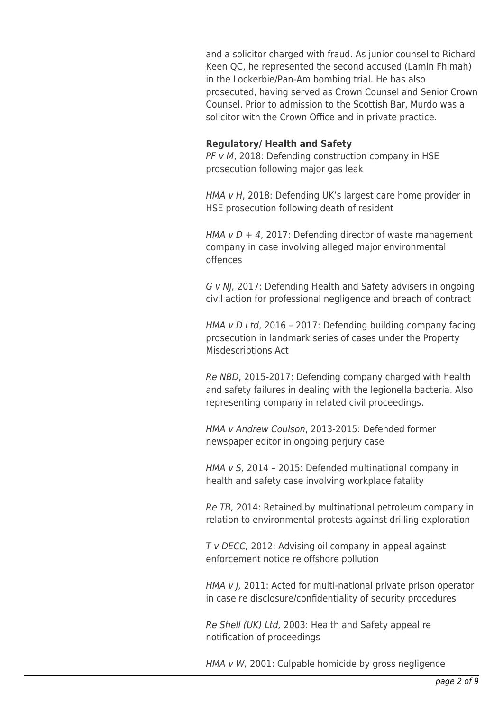and a solicitor charged with fraud. As junior counsel to Richard Keen QC, he represented the second accused (Lamin Fhimah) in the Lockerbie/Pan-Am bombing trial. He has also prosecuted, having served as Crown Counsel and Senior Crown Counsel. Prior to admission to the Scottish Bar, Murdo was a solicitor with the Crown Office and in private practice.

#### **Regulatory/ Health and Safety**

PF v M, 2018: Defending construction company in HSE prosecution following major gas leak

HMA v H, 2018: Defending UK's largest care home provider in HSE prosecution following death of resident

HMA  $v D + 4$ , 2017: Defending director of waste management company in case involving alleged major environmental offences

G v NJ, 2017: Defending Health and Safety advisers in ongoing civil action for professional negligence and breach of contract

HMA v D Ltd, 2016 – 2017: Defending building company facing prosecution in landmark series of cases under the Property Misdescriptions Act

Re NBD, 2015-2017: Defending company charged with health and safety failures in dealing with the legionella bacteria. Also representing company in related civil proceedings.

HMA v Andrew Coulson, 2013-2015: Defended former newspaper editor in ongoing perjury case

HMA v S, 2014 – 2015: Defended multinational company in health and safety case involving workplace fatality

Re TB, 2014: Retained by multinational petroleum company in relation to environmental protests against drilling exploration

T v DECC, 2012: Advising oil company in appeal against enforcement notice re offshore pollution

HMA v J, 2011: Acted for multi-national private prison operator in case re disclosure/confidentiality of security procedures

Re Shell (UK) Ltd, 2003: Health and Safety appeal re notification of proceedings

HMA v W, 2001: Culpable homicide by gross negligence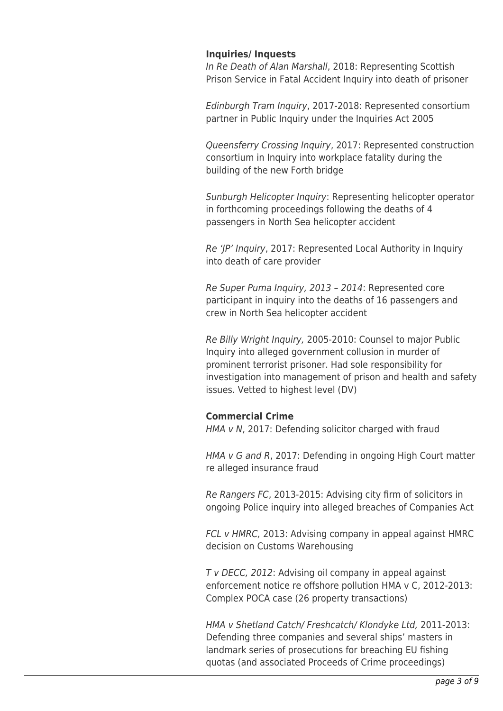## **Inquiries/ Inquests**

In Re Death of Alan Marshall, 2018: Representing Scottish Prison Service in Fatal Accident Inquiry into death of prisoner

Edinburgh Tram Inquiry, 2017-2018: Represented consortium partner in Public Inquiry under the Inquiries Act 2005

Queensferry Crossing Inquiry, 2017: Represented construction consortium in Inquiry into workplace fatality during the building of the new Forth bridge

Sunburgh Helicopter Inquiry: Representing helicopter operator in forthcoming proceedings following the deaths of 4 passengers in North Sea helicopter accident

Re 'JP' Inquiry, 2017: Represented Local Authority in Inquiry into death of care provider

Re Super Puma Inquiry, 2013 – 2014: Represented core participant in inquiry into the deaths of 16 passengers and crew in North Sea helicopter accident

Re Billy Wright Inquiry, 2005-2010: Counsel to major Public Inquiry into alleged government collusion in murder of prominent terrorist prisoner. Had sole responsibility for investigation into management of prison and health and safety issues. Vetted to highest level (DV)

## **Commercial Crime**

HMA v N, 2017: Defending solicitor charged with fraud

HMA v G and R, 2017: Defending in ongoing High Court matter re alleged insurance fraud

Re Rangers FC, 2013-2015: Advising city firm of solicitors in ongoing Police inquiry into alleged breaches of Companies Act

FCL v HMRC, 2013: Advising company in appeal against HMRC decision on Customs Warehousing

T v DECC, 2012: Advising oil company in appeal against enforcement notice re offshore pollution HMA v C, 2012-2013: Complex POCA case (26 property transactions)

HMA v Shetland Catch/ Freshcatch/ Klondyke Ltd, 2011-2013: Defending three companies and several ships' masters in landmark series of prosecutions for breaching EU fishing quotas (and associated Proceeds of Crime proceedings)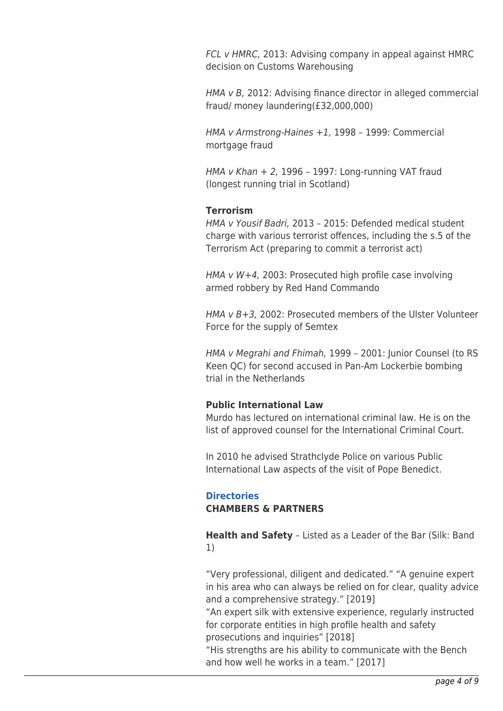FCL v HMRC, 2013: Advising company in appeal against HMRC decision on Customs Warehousing

HMA v B, 2012: Advising finance director in alleged commercial fraud/ money laundering(£32,000,000)

HMA v Armstrong-Haines +1, 1998 – 1999: Commercial mortgage fraud

HMA v Khan + 2, 1996 – 1997: Long-running VAT fraud (longest running trial in Scotland)

## **Terrorism**

HMA v Yousif Badri, 2013 – 2015: Defended medical student charge with various terrorist offences, including the s.5 of the Terrorism Act (preparing to commit a terrorist act)

HMA v W+4, 2003: Prosecuted high profile case involving armed robbery by Red Hand Commando

HMA v B+3, 2002: Prosecuted members of the Ulster Volunteer Force for the supply of Semtex

HMA v Megrahi and Fhimah, 1999 – 2001: Junior Counsel (to RS Keen QC) for second accused in Pan-Am Lockerbie bombing trial in the Netherlands

## **Public International Law**

Murdo has lectured on international criminal law. He is on the list of approved counsel for the International Criminal Court.

In 2010 he advised Strathclyde Police on various Public International Law aspects of the visit of Pope Benedict.

## **Directories**

## **CHAMBERS & PARTNERS**

**Health and Safety** – Listed as a Leader of the Bar (Silk: Band 1)

"Very professional, diligent and dedicated." "A genuine expert in his area who can always be relied on for clear, quality advice and a comprehensive strategy." [2019]

"An expert silk with extensive experience, regularly instructed for corporate entities in high profile health and safety prosecutions and inquiries" [2018]

"His strengths are his ability to communicate with the Bench and how well he works in a team." [2017]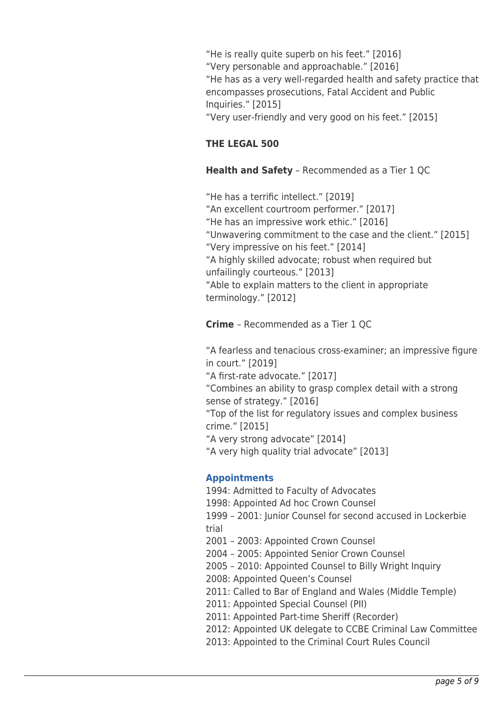"He is really quite superb on his feet." [2016] "Very personable and approachable." [2016] "He has as a very well-regarded health and safety practice that encompasses prosecutions, Fatal Accident and Public Inquiries." [2015] "Very user-friendly and very good on his feet." [2015]

# **THE LEGAL 500**

# **Health and Safety** – Recommended as a Tier 1 QC

"He has a terrific intellect." [2019] "An excellent courtroom performer." [2017] "He has an impressive work ethic." [2016] "Unwavering commitment to the case and the client." [2015] "Very impressive on his feet." [2014] "A highly skilled advocate; robust when required but unfailingly courteous." [2013] "Able to explain matters to the client in appropriate terminology." [2012]

**Crime** – Recommended as a Tier 1 QC

"A fearless and tenacious cross-examiner; an impressive figure in court." [2019] "A first-rate advocate." [2017] "Combines an ability to grasp complex detail with a strong sense of strategy." [2016] "Top of the list for regulatory issues and complex business crime." [2015] "A very strong advocate" [2014] "A very high quality trial advocate" [2013]

# **Appointments**

1994: Admitted to Faculty of Advocates 1998: Appointed Ad hoc Crown Counsel 1999 – 2001: Junior Counsel for second accused in Lockerbie trial 2001 – 2003: Appointed Crown Counsel 2004 – 2005: Appointed Senior Crown Counsel 2005 – 2010: Appointed Counsel to Billy Wright Inquiry 2008: Appointed Queen's Counsel 2011: Called to Bar of England and Wales (Middle Temple) 2011: Appointed Special Counsel
(PII) 2011: Appointed Part-time Sheriff
(Recorder) 2012: Appointed UK delegate to CCBE Criminal Law Committee 2013: Appointed to the Criminal Court Rules Council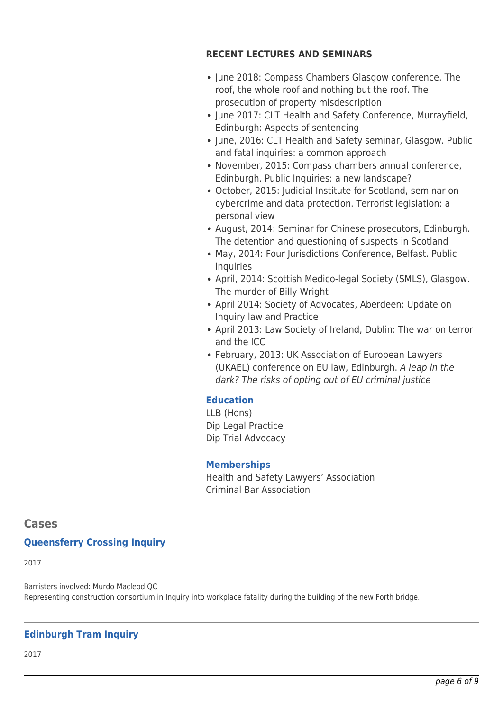## **RECENT LECTURES AND SEMINARS**

- June 2018: Compass Chambers Glasgow conference. The roof, the whole roof and nothing but the roof. The prosecution of property misdescription
- June 2017: CLT Health and Safety Conference, Murrayfield, Edinburgh: Aspects of sentencing
- June, 2016: CLT Health and Safety seminar, Glasgow. Public and fatal inquiries: a common approach
- November, 2015: Compass chambers annual conference, Edinburgh. Public Inquiries: a new landscape?
- October, 2015: Judicial Institute for Scotland, seminar on cybercrime and data protection. Terrorist legislation: a personal view
- August, 2014: Seminar for Chinese prosecutors, Edinburgh. The detention and questioning of suspects in Scotland
- May, 2014: Four Jurisdictions Conference, Belfast. Public inquiries
- April, 2014: Scottish Medico-legal Society (SMLS), Glasgow. The murder of Billy Wright
- April 2014: Society of Advocates, Aberdeen: Update on Inquiry law and Practice
- April 2013: Law Society of Ireland, Dublin: The war on terror and the ICC
- February, 2013: UK Association of European Lawyers (UKAEL) conference on EU law, Edinburgh. A leap in the dark? The risks of opting out of EU criminal justice

# **Education**

LLB (Hons) Dip Legal Practice Dip Trial Advocacy

# **Memberships**

Health and Safety Lawyers' Association Criminal Bar Association

# **Cases**

# **Queensferry Crossing Inquiry**

2017

Barristers involved: Murdo Macleod QC Representing construction consortium in Inquiry into workplace fatality during the building of the new Forth bridge.

# **Edinburgh Tram Inquiry**

2017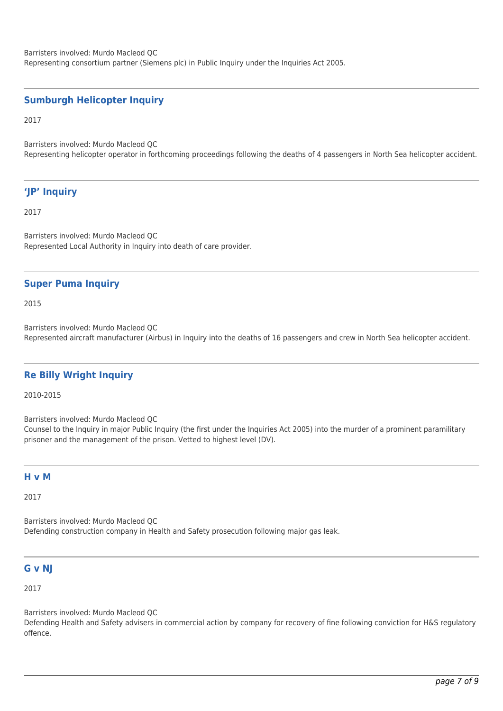Barristers involved: Murdo Macleod QC Representing consortium partner (Siemens plc) in Public Inquiry under the Inquiries Act 2005.

#### **Sumburgh Helicopter Inquiry**

2017

Barristers involved: Murdo Macleod QC Representing helicopter operator in forthcoming proceedings following the deaths of 4 passengers in North Sea helicopter accident.

## **'JP' Inquiry**

2017

Barristers involved: Murdo Macleod QC Represented Local Authority in Inquiry into death of care provider.

#### **Super Puma Inquiry**

2015

Barristers involved: Murdo Macleod QC Represented aircraft manufacturer (Airbus) in Inquiry into the deaths of 16 passengers and crew in North Sea helicopter accident.

#### **Re Billy Wright Inquiry**

2010-2015

Barristers involved: Murdo Macleod QC

Counsel to the Inquiry in major Public Inquiry (the first under the Inquiries Act 2005) into the murder of a prominent paramilitary prisoner and the management of the prison. Vetted to highest level (DV).

#### **H v M**

2017

Barristers involved: Murdo Macleod QC Defending construction company in Health and Safety prosecution following major gas leak.

#### **G v NJ**

2017

Barristers involved: Murdo Macleod QC

Defending Health and Safety advisers in commercial action by company for recovery of fine following conviction for H&S regulatory offence.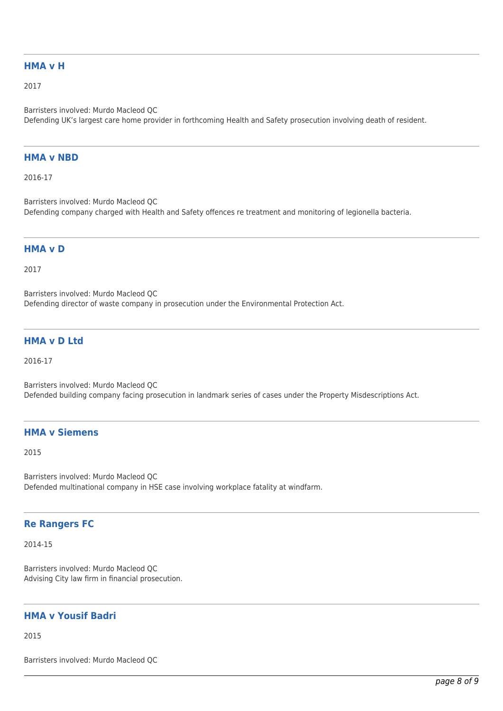#### **HMA v H**

2017

Barristers involved: Murdo Macleod QC Defending UK's largest care home provider in forthcoming Health and Safety prosecution involving death of resident.

#### **HMA v NBD**

2016-17

Barristers involved: Murdo Macleod QC Defending company charged with Health and Safety offences re treatment and monitoring of legionella bacteria.

#### **HMA v D**

2017

Barristers involved: Murdo Macleod QC Defending director of waste company in prosecution under the Environmental Protection Act.

#### **HMA v D Ltd**

2016-17

Barristers involved: Murdo Macleod QC Defended building company facing prosecution in landmark series of cases under the Property Misdescriptions Act.

#### **HMA v Siemens**

2015

Barristers involved: Murdo Macleod QC Defended multinational company in HSE case involving workplace fatality at windfarm.

#### **Re Rangers FC**

2014-15

Barristers involved: Murdo Macleod QC Advising City law firm in financial prosecution.

## **HMA v Yousif Badri**

2015

Barristers involved: Murdo Macleod QC